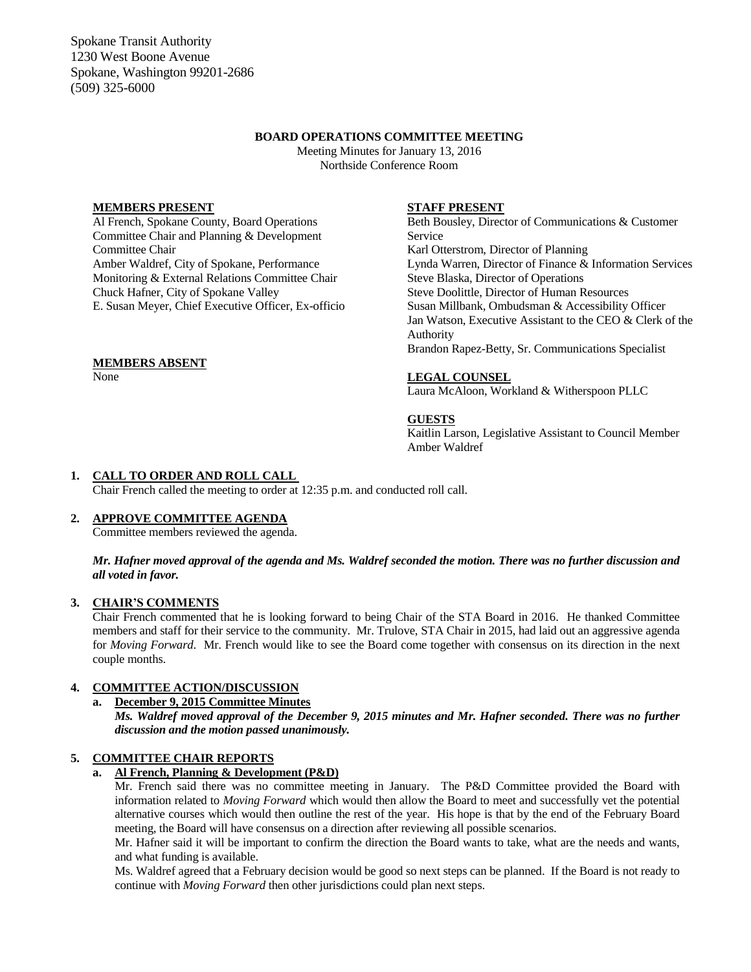Spokane Transit Authority 1230 West Boone Avenue Spokane, Washington 99201-2686 (509) 325-6000

## **BOARD OPERATIONS COMMITTEE MEETING**

Meeting Minutes for January 13, 2016 Northside Conference Room

### **MEMBERS PRESENT**

Al French, Spokane County, Board Operations Committee Chair and Planning & Development Committee Chair Amber Waldref, City of Spokane, Performance Monitoring & External Relations Committee Chair Chuck Hafner, City of Spokane Valley E. Susan Meyer, Chief Executive Officer, Ex-officio

### **MEMBERS ABSENT**

None

### **STAFF PRESENT**

Beth Bousley, Director of Communications & Customer Service Karl Otterstrom, Director of Planning Lynda Warren, Director of Finance & Information Services Steve Blaska, Director of Operations Steve Doolittle, Director of Human Resources Susan Millbank, Ombudsman & Accessibility Officer Jan Watson, Executive Assistant to the CEO & Clerk of the Authority Brandon Rapez-Betty, Sr. Communications Specialist

### **LEGAL COUNSEL**

Laura McAloon, Workland & Witherspoon PLLC

#### **GUESTS**

Kaitlin Larson, Legislative Assistant to Council Member Amber Waldref

### **1. CALL TO ORDER AND ROLL CALL**

Chair French called the meeting to order at 12:35 p.m. and conducted roll call.

#### **2. APPROVE COMMITTEE AGENDA**

Committee members reviewed the agenda.

### *Mr. Hafner moved approval of the agenda and Ms. Waldref seconded the motion. There was no further discussion and all voted in favor.*

#### **3. CHAIR'S COMMENTS**

Chair French commented that he is looking forward to being Chair of the STA Board in 2016. He thanked Committee members and staff for their service to the community. Mr. Trulove, STA Chair in 2015, had laid out an aggressive agenda for *Moving Forward*. Mr. French would like to see the Board come together with consensus on its direction in the next couple months.

# **4. COMMITTEE ACTION/DISCUSSION**

**a. December 9, 2015 Committee Minutes**

*Ms. Waldref moved approval of the December 9, 2015 minutes and Mr. Hafner seconded. There was no further discussion and the motion passed unanimously.*

#### **5. COMMITTEE CHAIR REPORTS**

# **a. Al French, Planning & Development (P&D)**

Mr. French said there was no committee meeting in January. The P&D Committee provided the Board with information related to *Moving Forward* which would then allow the Board to meet and successfully vet the potential alternative courses which would then outline the rest of the year. His hope is that by the end of the February Board meeting, the Board will have consensus on a direction after reviewing all possible scenarios.

Mr. Hafner said it will be important to confirm the direction the Board wants to take, what are the needs and wants, and what funding is available.

Ms. Waldref agreed that a February decision would be good so next steps can be planned. If the Board is not ready to continue with *Moving Forward* then other jurisdictions could plan next steps.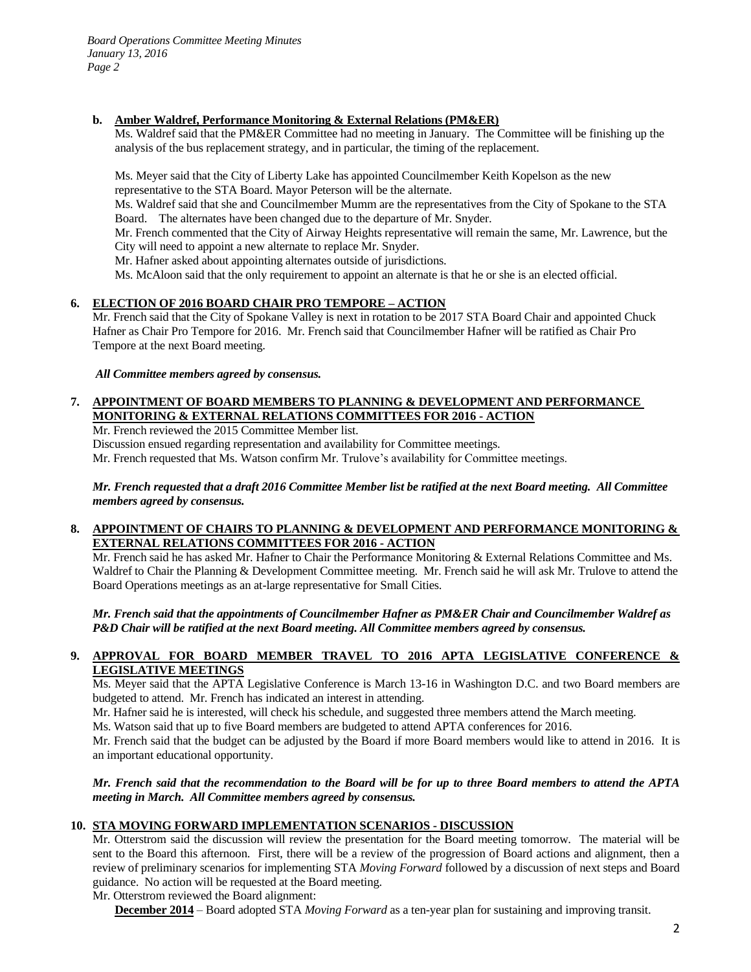*Board Operations Committee Meeting Minutes January 13, 2016 Page 2*

## **b. Amber Waldref, Performance Monitoring & External Relations (PM&ER)**

Ms. Waldref said that the PM&ER Committee had no meeting in January. The Committee will be finishing up the analysis of the bus replacement strategy, and in particular, the timing of the replacement.

Ms. Meyer said that the City of Liberty Lake has appointed Councilmember Keith Kopelson as the new representative to the STA Board. Mayor Peterson will be the alternate.

Ms. Waldref said that she and Councilmember Mumm are the representatives from the City of Spokane to the STA Board. The alternates have been changed due to the departure of Mr. Snyder.

Mr. French commented that the City of Airway Heights representative will remain the same, Mr. Lawrence, but the City will need to appoint a new alternate to replace Mr. Snyder.

Mr. Hafner asked about appointing alternates outside of jurisdictions.

Ms. McAloon said that the only requirement to appoint an alternate is that he or she is an elected official.

## **6. ELECTION OF 2016 BOARD CHAIR PRO TEMPORE – ACTION**

Mr. French said that the City of Spokane Valley is next in rotation to be 2017 STA Board Chair and appointed Chuck Hafner as Chair Pro Tempore for 2016. Mr. French said that Councilmember Hafner will be ratified as Chair Pro Tempore at the next Board meeting.

*All Committee members agreed by consensus.*

# **7. APPOINTMENT OF BOARD MEMBERS TO PLANNING & DEVELOPMENT AND PERFORMANCE MONITORING & EXTERNAL RELATIONS COMMITTEES FOR 2016 - ACTION**

Mr. French reviewed the 2015 Committee Member list.

Discussion ensued regarding representation and availability for Committee meetings.

Mr. French requested that Ms. Watson confirm Mr. Trulove's availability for Committee meetings.

*Mr. French requested that a draft 2016 Committee Member list be ratified at the next Board meeting. All Committee members agreed by consensus.*

## **8. APPOINTMENT OF CHAIRS TO PLANNING & DEVELOPMENT AND PERFORMANCE MONITORING & EXTERNAL RELATIONS COMMITTEES FOR 2016 - ACTION**

Mr. French said he has asked Mr. Hafner to Chair the Performance Monitoring & External Relations Committee and Ms. Waldref to Chair the Planning & Development Committee meeting. Mr. French said he will ask Mr. Trulove to attend the Board Operations meetings as an at-large representative for Small Cities.

*Mr. French said that the appointments of Councilmember Hafner as PM&ER Chair and Councilmember Waldref as P&D Chair will be ratified at the next Board meeting. All Committee members agreed by consensus.*

## **9. APPROVAL FOR BOARD MEMBER TRAVEL TO 2016 APTA LEGISLATIVE CONFERENCE & LEGISLATIVE MEETINGS**

Ms. Meyer said that the APTA Legislative Conference is March 13-16 in Washington D.C. and two Board members are budgeted to attend. Mr. French has indicated an interest in attending.

Mr. Hafner said he is interested, will check his schedule, and suggested three members attend the March meeting.

Ms. Watson said that up to five Board members are budgeted to attend APTA conferences for 2016.

Mr. French said that the budget can be adjusted by the Board if more Board members would like to attend in 2016. It is an important educational opportunity.

### *Mr. French said that the recommendation to the Board will be for up to three Board members to attend the APTA meeting in March. All Committee members agreed by consensus.*

#### **10. STA MOVING FORWARD IMPLEMENTATION SCENARIOS - DISCUSSION**

Mr. Otterstrom said the discussion will review the presentation for the Board meeting tomorrow. The material will be sent to the Board this afternoon. First, there will be a review of the progression of Board actions and alignment, then a review of preliminary scenarios for implementing STA *Moving Forward* followed by a discussion of next steps and Board guidance. No action will be requested at the Board meeting.

Mr. Otterstrom reviewed the Board alignment:

**December 2014** – Board adopted STA *Moving Forward* as a ten-year plan for sustaining and improving transit.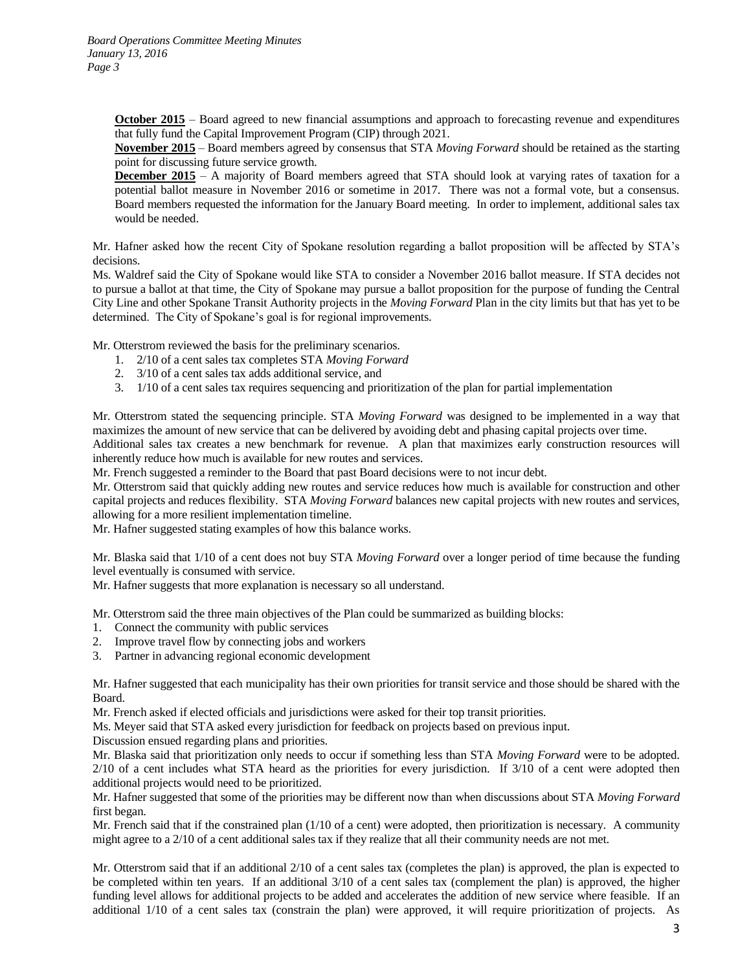**October 2015** – Board agreed to new financial assumptions and approach to forecasting revenue and expenditures that fully fund the Capital Improvement Program (CIP) through 2021.

**November 2015** – Board members agreed by consensus that STA *Moving Forward* should be retained as the starting point for discussing future service growth.

**December 2015** – A majority of Board members agreed that STA should look at varying rates of taxation for a potential ballot measure in November 2016 or sometime in 2017. There was not a formal vote, but a consensus. Board members requested the information for the January Board meeting. In order to implement, additional sales tax would be needed.

Mr. Hafner asked how the recent City of Spokane resolution regarding a ballot proposition will be affected by STA's decisions.

Ms. Waldref said the City of Spokane would like STA to consider a November 2016 ballot measure. If STA decides not to pursue a ballot at that time, the City of Spokane may pursue a ballot proposition for the purpose of funding the Central City Line and other Spokane Transit Authority projects in the *Moving Forward* Plan in the city limits but that has yet to be determined. The City of Spokane's goal is for regional improvements.

Mr. Otterstrom reviewed the basis for the preliminary scenarios.

- 1. 2/10 of a cent sales tax completes STA *Moving Forward*
- 2. 3/10 of a cent sales tax adds additional service, and
- 3. 1/10 of a cent sales tax requires sequencing and prioritization of the plan for partial implementation

Mr. Otterstrom stated the sequencing principle. STA *Moving Forward* was designed to be implemented in a way that maximizes the amount of new service that can be delivered by avoiding debt and phasing capital projects over time.

Additional sales tax creates a new benchmark for revenue. A plan that maximizes early construction resources will inherently reduce how much is available for new routes and services.

Mr. French suggested a reminder to the Board that past Board decisions were to not incur debt.

Mr. Otterstrom said that quickly adding new routes and service reduces how much is available for construction and other capital projects and reduces flexibility. STA *Moving Forward* balances new capital projects with new routes and services, allowing for a more resilient implementation timeline.

Mr. Hafner suggested stating examples of how this balance works.

Mr. Blaska said that 1/10 of a cent does not buy STA *Moving Forward* over a longer period of time because the funding level eventually is consumed with service.

Mr. Hafner suggests that more explanation is necessary so all understand.

Mr. Otterstrom said the three main objectives of the Plan could be summarized as building blocks:

- 1. Connect the community with public services
- 2. Improve travel flow by connecting jobs and workers
- 3. Partner in advancing regional economic development

Mr. Hafner suggested that each municipality has their own priorities for transit service and those should be shared with the Board.

Mr. French asked if elected officials and jurisdictions were asked for their top transit priorities.

Ms. Meyer said that STA asked every jurisdiction for feedback on projects based on previous input.

Discussion ensued regarding plans and priorities.

Mr. Blaska said that prioritization only needs to occur if something less than STA *Moving Forward* were to be adopted. 2/10 of a cent includes what STA heard as the priorities for every jurisdiction. If 3/10 of a cent were adopted then additional projects would need to be prioritized.

Mr. Hafner suggested that some of the priorities may be different now than when discussions about STA *Moving Forward* first began.

Mr. French said that if the constrained plan (1/10 of a cent) were adopted, then prioritization is necessary. A community might agree to a 2/10 of a cent additional sales tax if they realize that all their community needs are not met.

Mr. Otterstrom said that if an additional 2/10 of a cent sales tax (completes the plan) is approved, the plan is expected to be completed within ten years. If an additional 3/10 of a cent sales tax (complement the plan) is approved, the higher funding level allows for additional projects to be added and accelerates the addition of new service where feasible. If an additional 1/10 of a cent sales tax (constrain the plan) were approved, it will require prioritization of projects. As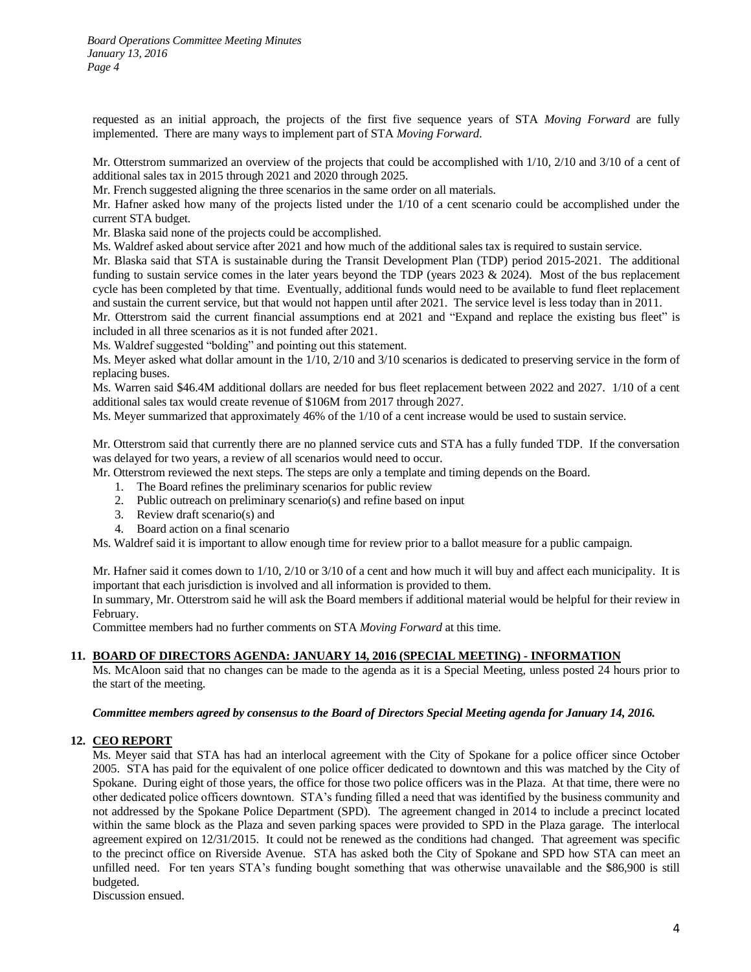*Board Operations Committee Meeting Minutes January 13, 2016 Page 4*

requested as an initial approach, the projects of the first five sequence years of STA *Moving Forward* are fully implemented. There are many ways to implement part of STA *Moving Forward*.

Mr. Otterstrom summarized an overview of the projects that could be accomplished with  $1/10$ ,  $2/10$  and  $3/10$  of a cent of additional sales tax in 2015 through 2021 and 2020 through 2025.

Mr. French suggested aligning the three scenarios in the same order on all materials.

Mr. Hafner asked how many of the projects listed under the 1/10 of a cent scenario could be accomplished under the current STA budget.

Mr. Blaska said none of the projects could be accomplished.

Ms. Waldref asked about service after 2021 and how much of the additional sales tax is required to sustain service.

Mr. Blaska said that STA is sustainable during the Transit Development Plan (TDP) period 2015-2021. The additional funding to sustain service comes in the later years beyond the TDP (years  $2023 \& 2024$ ). Most of the bus replacement cycle has been completed by that time. Eventually, additional funds would need to be available to fund fleet replacement and sustain the current service, but that would not happen until after 2021. The service level is less today than in 2011.

Mr. Otterstrom said the current financial assumptions end at 2021 and "Expand and replace the existing bus fleet" is included in all three scenarios as it is not funded after 2021.

Ms. Waldref suggested "bolding" and pointing out this statement.

Ms. Meyer asked what dollar amount in the 1/10, 2/10 and 3/10 scenarios is dedicated to preserving service in the form of replacing buses.

Ms. Warren said \$46.4M additional dollars are needed for bus fleet replacement between 2022 and 2027. 1/10 of a cent additional sales tax would create revenue of \$106M from 2017 through 2027.

Ms. Meyer summarized that approximately 46% of the 1/10 of a cent increase would be used to sustain service.

Mr. Otterstrom said that currently there are no planned service cuts and STA has a fully funded TDP. If the conversation was delayed for two years, a review of all scenarios would need to occur.

Mr. Otterstrom reviewed the next steps. The steps are only a template and timing depends on the Board.

- 1. The Board refines the preliminary scenarios for public review
- 2. Public outreach on preliminary scenario(s) and refine based on input
- 3. Review draft scenario(s) and
- 4. Board action on a final scenario

Ms. Waldref said it is important to allow enough time for review prior to a ballot measure for a public campaign.

Mr. Hafner said it comes down to 1/10, 2/10 or 3/10 of a cent and how much it will buy and affect each municipality. It is important that each jurisdiction is involved and all information is provided to them.

In summary, Mr. Otterstrom said he will ask the Board members if additional material would be helpful for their review in February.

Committee members had no further comments on STA *Moving Forward* at this time.

### **11. BOARD OF DIRECTORS AGENDA: JANUARY 14, 2016 (SPECIAL MEETING) - INFORMATION**

Ms. McAloon said that no changes can be made to the agenda as it is a Special Meeting, unless posted 24 hours prior to the start of the meeting.

#### *Committee members agreed by consensus to the Board of Directors Special Meeting agenda for January 14, 2016.*

#### **12. CEO REPORT**

Ms. Meyer said that STA has had an interlocal agreement with the City of Spokane for a police officer since October 2005. STA has paid for the equivalent of one police officer dedicated to downtown and this was matched by the City of Spokane. During eight of those years, the office for those two police officers was in the Plaza. At that time, there were no other dedicated police officers downtown. STA's funding filled a need that was identified by the business community and not addressed by the Spokane Police Department (SPD). The agreement changed in 2014 to include a precinct located within the same block as the Plaza and seven parking spaces were provided to SPD in the Plaza garage. The interlocal agreement expired on 12/31/2015. It could not be renewed as the conditions had changed. That agreement was specific to the precinct office on Riverside Avenue. STA has asked both the City of Spokane and SPD how STA can meet an unfilled need. For ten years STA's funding bought something that was otherwise unavailable and the \$86,900 is still budgeted.

Discussion ensued.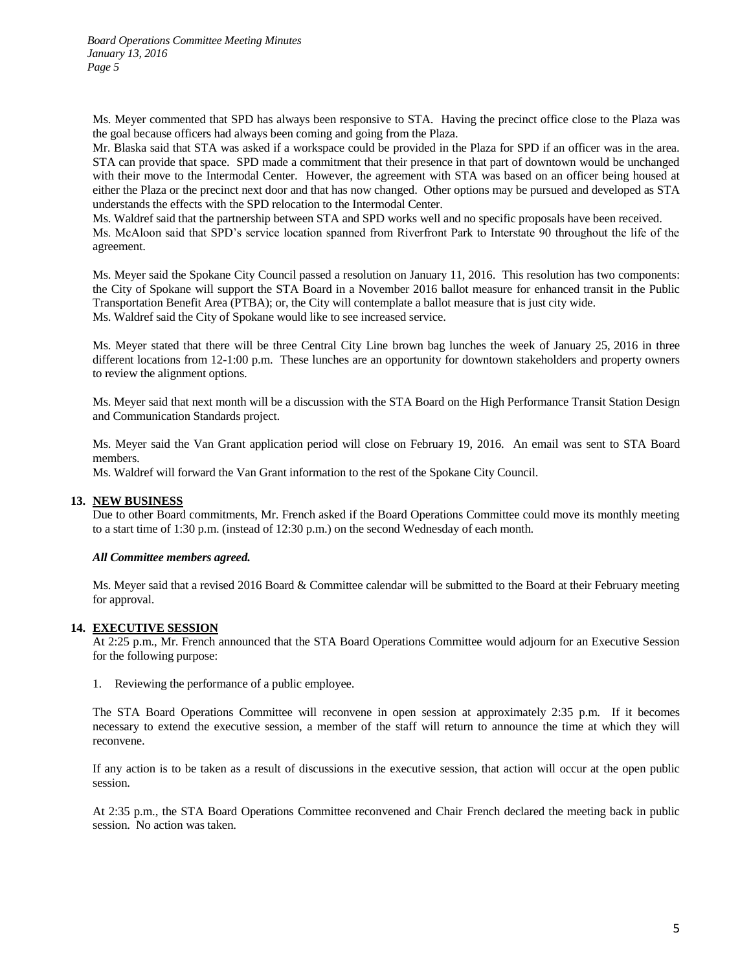Ms. Meyer commented that SPD has always been responsive to STA. Having the precinct office close to the Plaza was the goal because officers had always been coming and going from the Plaza.

Mr. Blaska said that STA was asked if a workspace could be provided in the Plaza for SPD if an officer was in the area. STA can provide that space. SPD made a commitment that their presence in that part of downtown would be unchanged with their move to the Intermodal Center. However, the agreement with STA was based on an officer being housed at either the Plaza or the precinct next door and that has now changed. Other options may be pursued and developed as STA understands the effects with the SPD relocation to the Intermodal Center.

Ms. Waldref said that the partnership between STA and SPD works well and no specific proposals have been received. Ms. McAloon said that SPD's service location spanned from Riverfront Park to Interstate 90 throughout the life of the agreement.

Ms. Meyer said the Spokane City Council passed a resolution on January 11, 2016. This resolution has two components: the City of Spokane will support the STA Board in a November 2016 ballot measure for enhanced transit in the Public Transportation Benefit Area (PTBA); or, the City will contemplate a ballot measure that is just city wide. Ms. Waldref said the City of Spokane would like to see increased service.

Ms. Meyer stated that there will be three Central City Line brown bag lunches the week of January 25, 2016 in three different locations from 12-1:00 p.m. These lunches are an opportunity for downtown stakeholders and property owners to review the alignment options.

Ms. Meyer said that next month will be a discussion with the STA Board on the High Performance Transit Station Design and Communication Standards project.

Ms. Meyer said the Van Grant application period will close on February 19, 2016. An email was sent to STA Board members.

Ms. Waldref will forward the Van Grant information to the rest of the Spokane City Council.

## **13. NEW BUSINESS**

Due to other Board commitments, Mr. French asked if the Board Operations Committee could move its monthly meeting to a start time of 1:30 p.m. (instead of 12:30 p.m.) on the second Wednesday of each month.

## *All Committee members agreed.*

Ms. Meyer said that a revised 2016 Board & Committee calendar will be submitted to the Board at their February meeting for approval.

## **14. EXECUTIVE SESSION**

At 2:25 p.m., Mr. French announced that the STA Board Operations Committee would adjourn for an Executive Session for the following purpose:

1. Reviewing the performance of a public employee.

The STA Board Operations Committee will reconvene in open session at approximately 2:35 p.m. If it becomes necessary to extend the executive session, a member of the staff will return to announce the time at which they will reconvene.

If any action is to be taken as a result of discussions in the executive session, that action will occur at the open public session.

At 2:35 p.m., the STA Board Operations Committee reconvened and Chair French declared the meeting back in public session. No action was taken.